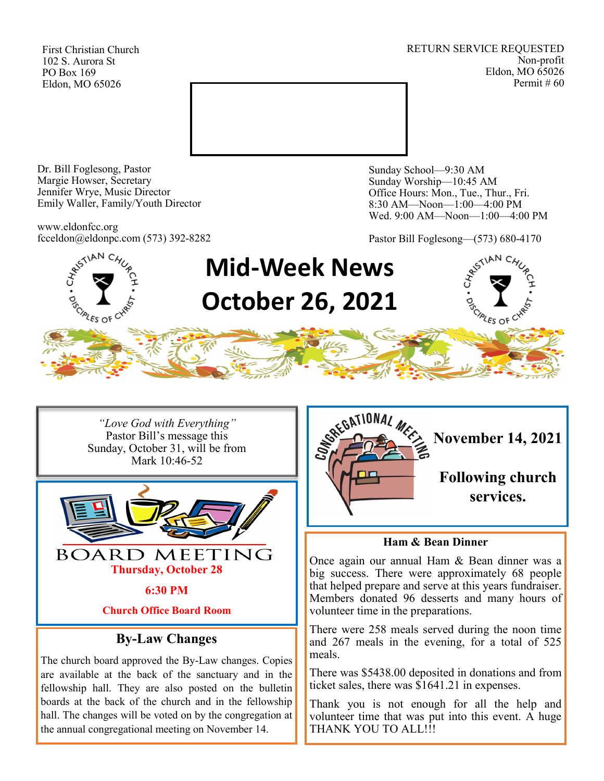First Christian Church 102 S. Aurora St PO Box 169 Eldon, MO 65026

RETURN SERVICE REQUESTED Non-profit Eldon, MO 65026 Permit # 60



Dr. Bill Foglesong, Pastor Margie Howser, Secretary Jennifer Wrye, Music Director Emily Waller, Family/Youth Director

www.eldonfcc.org fcceldon@eldonpc.com (573) 392-8282 Sunday School—9:30 AM Sunday Worship—10:45 AM Office Hours: Mon., Tue., Thur., Fri. 8:30 AM—Noon—1:00—4:00 PM Wed. 9:00 AM—Noon—1:00—4:00 PM

Pastor Bill Foglesong—(573) 680-4170



*"Love God with Everything"* Pastor Bill's message this Sunday, October 31, will be from Mark 10:46-52



**6:30 PM**

**Church Office Board Room**

# **By-Law Changes**

The church board approved the By-Law changes. Copies are available at the back of the sanctuary and in the fellowship hall. They are also posted on the bulletin boards at the back of the church and in the fellowship hall. The changes will be voted on by the congregation at the annual congregational meeting on November 14.



# **Ham & Bean Dinner**

Once again our annual Ham & Bean dinner was a big success. There were approximately 68 people that helped prepare and serve at this years fundraiser. Members donated 96 desserts and many hours of volunteer time in the preparations.

There were 258 meals served during the noon time and 267 meals in the evening, for a total of 525 meals.

There was \$5438.00 deposited in donations and from ticket sales, there was \$1641.21 in expenses.

Thank you is not enough for all the help and volunteer time that was put into this event. A huge THANK YOU TO ALL!!!